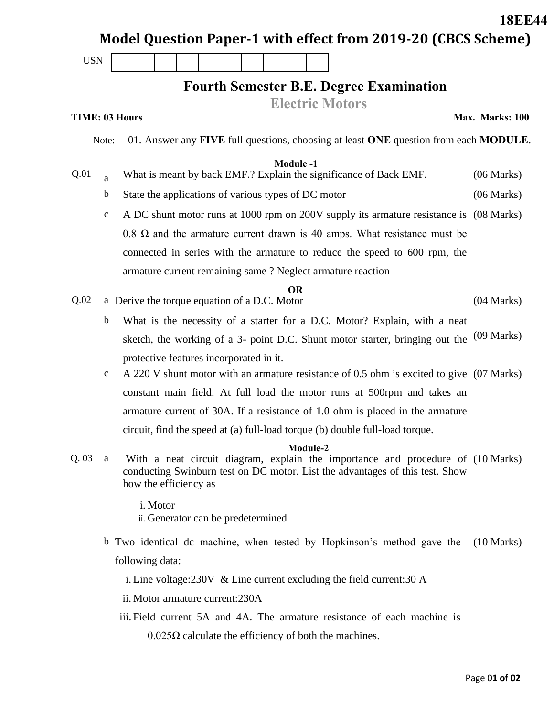|                       |              |                                                                                                                                                          |                                                                                        |                                                |  |  |  |  |  |                 |          |  |                                                                             |            |  |                                                                                 |            | <b>18EE44</b>                                                                            |
|-----------------------|--------------|----------------------------------------------------------------------------------------------------------------------------------------------------------|----------------------------------------------------------------------------------------|------------------------------------------------|--|--|--|--|--|-----------------|----------|--|-----------------------------------------------------------------------------|------------|--|---------------------------------------------------------------------------------|------------|------------------------------------------------------------------------------------------|
|                       |              |                                                                                                                                                          |                                                                                        |                                                |  |  |  |  |  |                 |          |  |                                                                             |            |  |                                                                                 |            | Model Question Paper-1 with effect from 2019-20 (CBCS Scheme)                            |
| <b>USN</b>            |              |                                                                                                                                                          |                                                                                        |                                                |  |  |  |  |  |                 |          |  |                                                                             |            |  |                                                                                 |            |                                                                                          |
|                       |              |                                                                                                                                                          |                                                                                        |                                                |  |  |  |  |  |                 |          |  |                                                                             |            |  | <b>Fourth Semester B.E. Degree Examination</b>                                  |            |                                                                                          |
|                       |              |                                                                                                                                                          |                                                                                        |                                                |  |  |  |  |  |                 |          |  | <b>Electric Motors</b>                                                      |            |  |                                                                                 |            |                                                                                          |
| <b>TIME: 03 Hours</b> |              |                                                                                                                                                          |                                                                                        |                                                |  |  |  |  |  |                 |          |  |                                                                             |            |  |                                                                                 |            | Max. Marks: 100                                                                          |
|                       | Note:        |                                                                                                                                                          |                                                                                        |                                                |  |  |  |  |  |                 |          |  |                                                                             |            |  |                                                                                 |            | 01. Answer any FIVE full questions, choosing at least ONE question from each MODULE.     |
|                       |              |                                                                                                                                                          |                                                                                        |                                                |  |  |  |  |  | <b>Module-1</b> |          |  |                                                                             |            |  |                                                                                 |            |                                                                                          |
| Q.01                  | $\mathbf{a}$ |                                                                                                                                                          |                                                                                        |                                                |  |  |  |  |  |                 |          |  | What is meant by back EMF.? Explain the significance of Back EMF.           |            |  |                                                                                 |            | (06 Marks)                                                                               |
|                       | b            |                                                                                                                                                          | State the applications of various types of DC motor                                    |                                                |  |  |  |  |  |                 |          |  |                                                                             |            |  |                                                                                 | (06 Marks) |                                                                                          |
|                       | $\mathbf c$  |                                                                                                                                                          | A DC shunt motor runs at 1000 rpm on 200V supply its armature resistance is (08 Marks) |                                                |  |  |  |  |  |                 |          |  |                                                                             |            |  |                                                                                 |            |                                                                                          |
|                       |              |                                                                                                                                                          |                                                                                        |                                                |  |  |  |  |  |                 |          |  |                                                                             |            |  | 0.8 $\Omega$ and the armature current drawn is 40 amps. What resistance must be |            |                                                                                          |
|                       |              |                                                                                                                                                          | connected in series with the armature to reduce the speed to 600 rpm, the              |                                                |  |  |  |  |  |                 |          |  |                                                                             |            |  |                                                                                 |            |                                                                                          |
|                       |              |                                                                                                                                                          |                                                                                        |                                                |  |  |  |  |  |                 |          |  | armature current remaining same? Neglect armature reaction                  |            |  |                                                                                 |            |                                                                                          |
| Q.02                  |              | OR.<br>a Derive the torque equation of a D.C. Motor                                                                                                      |                                                                                        |                                                |  |  |  |  |  |                 |          |  |                                                                             | (04 Marks) |  |                                                                                 |            |                                                                                          |
|                       | $\mathbf b$  |                                                                                                                                                          | What is the necessity of a starter for a D.C. Motor? Explain, with a neat              |                                                |  |  |  |  |  |                 |          |  |                                                                             |            |  |                                                                                 |            |                                                                                          |
|                       |              | sketch, the working of a 3- point D.C. Shunt motor starter, bringing out the                                                                             |                                                                                        |                                                |  |  |  |  |  |                 |          |  |                                                                             |            |  | $(09$ Marks)                                                                    |            |                                                                                          |
|                       |              |                                                                                                                                                          |                                                                                        | protective features incorporated in it.        |  |  |  |  |  |                 |          |  |                                                                             |            |  |                                                                                 |            |                                                                                          |
|                       | $\mathbf c$  |                                                                                                                                                          |                                                                                        |                                                |  |  |  |  |  |                 |          |  |                                                                             |            |  |                                                                                 |            | A 220 V shunt motor with an armature resistance of 0.5 ohm is excited to give (07 Marks) |
|                       |              |                                                                                                                                                          |                                                                                        |                                                |  |  |  |  |  |                 |          |  |                                                                             |            |  |                                                                                 |            |                                                                                          |
|                       |              | constant main field. At full load the motor runs at 500rpm and takes an<br>armature current of 30A. If a resistance of 1.0 ohm is placed in the armature |                                                                                        |                                                |  |  |  |  |  |                 |          |  |                                                                             |            |  |                                                                                 |            |                                                                                          |
|                       |              | circuit, find the speed at (a) full-load torque (b) double full-load torque.                                                                             |                                                                                        |                                                |  |  |  |  |  |                 |          |  |                                                                             |            |  |                                                                                 |            |                                                                                          |
|                       |              |                                                                                                                                                          |                                                                                        |                                                |  |  |  |  |  |                 | Module-2 |  |                                                                             |            |  |                                                                                 |            |                                                                                          |
| Q.03                  | a            |                                                                                                                                                          |                                                                                        | how the efficiency as                          |  |  |  |  |  |                 |          |  |                                                                             |            |  | conducting Swinburn test on DC motor. List the advantages of this test. Show    |            | With a neat circuit diagram, explain the importance and procedure of (10 Marks)          |
|                       |              |                                                                                                                                                          |                                                                                        | i. Motor<br>ii. Generator can be predetermined |  |  |  |  |  |                 |          |  |                                                                             |            |  |                                                                                 |            |                                                                                          |
|                       |              |                                                                                                                                                          |                                                                                        |                                                |  |  |  |  |  |                 |          |  |                                                                             |            |  | b Two identical dc machine, when tested by Hopkinson's method gave the          |            | $(10 \text{ Marks})$                                                                     |
|                       |              |                                                                                                                                                          |                                                                                        | following data:                                |  |  |  |  |  |                 |          |  |                                                                             |            |  |                                                                                 |            |                                                                                          |
|                       |              |                                                                                                                                                          |                                                                                        |                                                |  |  |  |  |  |                 |          |  | i. Line voltage: $230V \&$ Line current excluding the field current: $30 A$ |            |  |                                                                                 |            |                                                                                          |
|                       |              |                                                                                                                                                          |                                                                                        | ii. Motor armature current: 230A               |  |  |  |  |  |                 |          |  |                                                                             |            |  |                                                                                 |            |                                                                                          |
|                       |              |                                                                                                                                                          |                                                                                        |                                                |  |  |  |  |  |                 |          |  |                                                                             |            |  | iii. Field current 5A and 4A. The armature resistance of each machine is        |            |                                                                                          |

0.025Ω calculate the efficiency of both the machines.